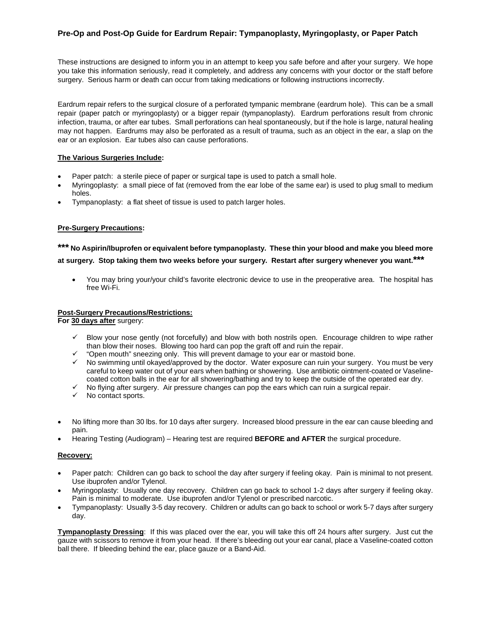# **Pre-Op and Post-Op Guide for Eardrum Repair: Tympanoplasty, Myringoplasty, or Paper Patch**

These instructions are designed to inform you in an attempt to keep you safe before and after your surgery. We hope you take this information seriously, read it completely, and address any concerns with your doctor or the staff before surgery. Serious harm or death can occur from taking medications or following instructions incorrectly.

Eardrum repair refers to the surgical closure of a perforated tympanic membrane (eardrum hole). This can be a small repair (paper patch or myringoplasty) or a bigger repair (tympanoplasty). Eardrum perforations result from chronic infection, trauma, or after ear tubes. Small perforations can heal spontaneously, but if the hole is large, natural healing may not happen. Eardrums may also be perforated as a result of trauma, such as an object in the ear, a slap on the ear or an explosion. Ear tubes also can cause perforations.

# **The Various Surgeries Include:**

- Paper patch: a sterile piece of paper or surgical tape is used to patch a small hole.
- Myringoplasty: a small piece of fat (removed from the ear lobe of the same ear) is used to plug small to medium holes.
- Tympanoplasty: a flat sheet of tissue is used to patch larger holes.

# **Pre-Surgery Precautions:**

# **\*\*\* No Aspirin/Ibuprofen or equivalent before tympanoplasty. These thin your blood and make you bleed more at surgery. Stop taking them two weeks before your surgery. Restart after surgery whenever you want.\*\*\***

• You may bring your/your child's favorite electronic device to use in the preoperative area. The hospital has free Wi-Fi.

### **Post-Surgery Precautions/Restrictions:**

**For 30 days after** surgery:

- $\checkmark$  Blow your nose gently (not forcefully) and blow with both nostrils open. Encourage children to wipe rather than blow their noses. Blowing too hard can pop the graft off and ruin the repair.
- $\checkmark$  "Open mouth" sneezing only. This will prevent damage to your ear or mastoid bone.
- $\checkmark$  No swimming until okayed/approved by the doctor. Water exposure can ruin your surgery. You must be very careful to keep water out of your ears when bathing or showering. Use antibiotic ointment-coated or Vaselinecoated cotton balls in the ear for all showering/bathing and try to keep the outside of the operated ear dry.
- $\checkmark$  No flying after surgery. Air pressure changes can pop the ears which can ruin a surgical repair.
- $\checkmark$  No contact sports.
- No lifting more than 30 lbs. for 10 days after surgery. Increased blood pressure in the ear can cause bleeding and pain.
- Hearing Testing (Audiogram) Hearing test are required **BEFORE and AFTER** the surgical procedure.

### **Recovery:**

- Paper patch: Children can go back to school the day after surgery if feeling okay. Pain is minimal to not present. Use ibuprofen and/or Tylenol.
- Myringoplasty: Usually one day recovery. Children can go back to school 1-2 days after surgery if feeling okay. Pain is minimal to moderate. Use ibuprofen and/or Tylenol or prescribed narcotic.
- Tympanoplasty: Usually 3-5 day recovery. Children or adults can go back to school or work 5-7 days after surgery day.

**Tympanoplasty Dressing**: If this was placed over the ear, you will take this off 24 hours after surgery. Just cut the gauze with scissors to remove it from your head. If there's bleeding out your ear canal, place a Vaseline-coated cotton ball there. If bleeding behind the ear, place gauze or a Band-Aid.